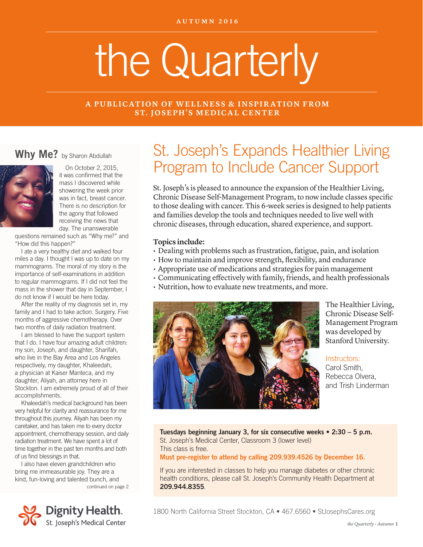# the Quarterly

#### **A PUBLICATION OF WELLNESS & INSPIRATION FROM ST. JOSEPH'S MEDICAL CENTER**

#### Why Me? by Sharon Abdullah



On October 2, 2015, it was confirmed that the mass I discovered while showering the week prior was in fact, breast cancer. There is no description for the agony that followed receiving the news that day. The unanswerable

questions remained such as "Why me?" and "How did this happen?"

I ate a very healthy diet and walked four miles a day. I thought I was up to date on my mammograms. The moral of my story is the importance of self-examinations in addition to regular mammograms. If I did not feel the mass in the shower that day in September, I do not know if I would be here today.

After the reality of my diagnosis set in, my family and I had to take action. Surgery. Five months of aggressive chemotherapy. Over two months of daily radiation treatment.

I am blessed to have the support system that I do. I have four amazing adult children: my son, Joseph, and daughter, Sharifah, who live in the Bay Area and Los Angeles respectively, my daughter, Khaleedah, a physician at Kaiser Manteca, and my daughter, Aliyah, an attorney here in Stockton. I am extremely proud of all of their accomplishments.

Khaleedah's medical background has been very helpful for clarity and reassurance for me throughout this journey. Aliyah has been my caretaker, and has taken me to every doctor appointment, chemotherapy session, and daily radiation treatment. We have spent a lot of time together in the past ten months and both of us find blessings in that.

continued on page 2 I also have eleven grandchildren who bring me immeasurable joy. They are a kind, fun-loving and talented bunch, and



# St. Joseph's Expands Healthier Living Program to Include Cancer Support

St. Joseph's is pleased to announce the expansion of the Healthier Living, Chronic Disease Self-Management Program, to now include classes specific to those dealing with cancer. This 6-week series is designed to help patients and families develop the tools and techniques needed to live well with chronic diseases, through education, shared experience, and support.

#### **Topics include:**

- Dealing with problems such as frustration, fatigue, pain, and isolation
- How to maintain and improve strength, flexibility, and endurance
- Appropriate use of medications and strategies for pain management
- Communicating effectively with family, friends, and health professionals
- Nutrition, how to evaluate new treatments, and more.



The Healthier Living, Chronic Disease Self-Management Program was developed by Stanford University.

Instructors:

Carol Smith, Rebecca Olvera, and Trish Linderman

Tuesdays beginning January 3, for six consecutive weeks • 2:30 – 5 p.m. St. Joseph's Medical Center, Classroom 3 (lower level) This class is free.

Must pre-register to attend by calling 209.939.4526 by December 16.

If you are interested in classes to help you manage diabetes or other chronic health conditions, please call St. Joseph's Community Health Department at 209.944.8355.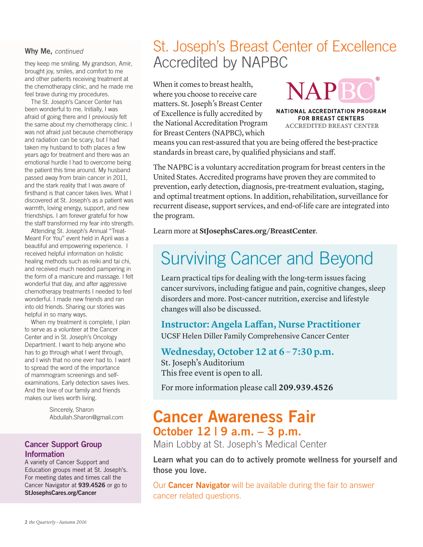#### Why Me, *continued*

they keep me smiling. My grandson, Amir, brought joy, smiles, and comfort to me and other patients receiving treatment at the chemotherapy clinic, and he made me feel brave during my procedures.

The St. Joseph's Cancer Center has been wonderful to me. Initially, I was afraid of going there and I previously felt the same about my chemotherapy clinic. I was not afraid just because chemotherapy and radiation can be scary, but I had taken my husband to both places a few years ago for treatment and there was an emotional hurdle I had to overcome being the patient this time around. My husband passed away from brain cancer in 2011, and the stark reality that I was aware of firsthand is that cancer takes lives. What I discovered at St. Joseph's as a patient was warmth, loving energy, support, and new friendships. I am forever grateful for how the staff transformed my fear into strength.

Attending St. Joseph's Annual "Treat-Meant For You" event held in April was a beautiful and empowering experience. I received helpful information on holistic healing methods such as reiki and tai chi, and received much needed pampering in the form of a manicure and massage. I felt wonderful that day, and after aggressive chemotherapy treatments I needed to feel wonderful. I made new friends and ran into old friends. Sharing our stories was helpful in so many ways.

When my treatment is complete, I plan to serve as a volunteer at the Cancer Center and in St. Joseph's Oncology Department. I want to help anyone who has to go through what I went through, and I wish that no one ever had to. I want to spread the word of the importance of mammogram screenings and selfexaminations. Early detection saves lives. And the love of our family and friends makes our lives worth living.

> Sincerely, Sharon Abdullah.Sharon@gmail.com

#### Cancer Support Group Information

A variety of Cancer Support and Education groups meet at St. Joseph's. For meeting dates and times call the Cancer Navigator at 939.4526 or go to StJosephsCares.org/Cancer

# St. Joseph's Breast Center of Excellence Accredited by NAPBC

When it comes to breast health, where you choose to receive care matters. St. Joseph's Breast Center of Excellence is fully accredited by the National Accreditation Program for Breast Centers (NAPBC), which

**NAPR** 

NATIONAL ACCREDITATION PROGRAM **FOR BREAST CENTERS ACCREDITED BREAST CENTER** 

means you can rest-assured that you are being offered the best-practice standards in breast care, by qualified physicians and staff.

The NAPBC is a voluntary accreditation program for breast centers in the United States. Accredited programs have proven they are commited to prevention, early detection, diagnosis, pre-treatment evaluation, staging, and optimal treatment options. In addition, rehabilitation, surveillance for recurrent disease, support services, and end-of-life care are integrated into the program.

Learn more at **StJosephsCares.org/BreastCenter**.

# Surviving Cancer and Beyond

Learn practical tips for dealing with the long-term issues facing cancer survivors, including fatigue and pain, cognitive changes, sleep disorders and more. Post-cancer nutrition, exercise and lifestyle changes will also be discussed.

#### **Instructor: Angela Laffan, Nurse Practitioner**

UCSF Helen Diller Family Comprehensive Cancer Center

**Wednesday, October 12 at 6 – 7:30 p.m.**  St. Joseph's Auditorium This free event is open to all.

For more information please call **209.939.4526**

## Cancer Awareness Fair October 12 | 9 a.m. – 3 p.m.

Main Lobby at St. Joseph's Medical Center

Learn what you can do to actively promote wellness for yourself and those you love.

Our **Cancer Navigator** will be available during the fair to answer cancer related questions.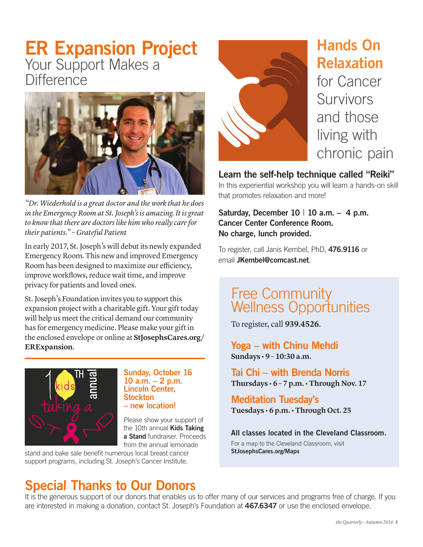# ER Expansion Project Your Support Makes a **Difference**



*"Dr. Wiederhold is a great doctor and the work that he does in the Emergency Room at St. Joseph's is amazing. It is great to know that there are doctors like him who really care for their patients." – Grateful Patient*

In early 2017, St. Joseph's will debut its newly expanded Emergency Room. This new and improved Emergency Room has been designed to maximize our efficiency, improve workflows, reduce wait time, and improve privacy for patients and loved ones.

St. Joseph's Foundation invites you to support this expansion project with a charitable gift. Your gift today will help us meet the critical demand our community has for emergency medicine. Please make your gift in the enclosed envelope or online at **StJosephsCares.org/ ERExpansion**.



#### Sunday, October 16 10 a.m. – 2 p.m. Lincoln Center, **Stockton** – new location!

Please show your support of the 10th annual **Kids Taking** a Stand fundraiser. Proceeds from the annual lemonade

stand and bake sale benefit numerous local breast cancer support programs, including St. Joseph's Cancer Institute.

# Special Thanks to Our Donors



# Hands On Relaxation for Cancer Survivors and those

living with chronic pain

#### Learn the self-help technique called "Reiki"

In this experiential workshop you will learn a hands-on skill that promotes relaxation and more!

Saturday, December 10 | 10 a.m.  $-$  4 p.m. Cancer Center Conference Room. No charge, lunch provided.

To register, call Janis Kembel, PhD, 476.9116 or email JKembel@comcast.net.

## Free Community Wellness Opportunities

To register, call **939.4526**.

Yoga – with Chinu Mehdi **Sundays • 9 – 10:30 a.m.** 

Tai Chi – with Brenda Norris **Thursdays • 6 – 7 p.m. • Through Nov. 17**

Meditation Tuesday's **Tuesdays • 6 p.m. • Through Oct. 25**

#### All classes located in the Cleveland Classroom.

For a map to the Cleveland Classroom, visit StJosephsCares.org/Maps

It is the generous support of our donors that enables us to offer many of our services and programs free of charge. If you are interested in making a donation, contact St. Joseph's Foundation at 467.6347 or use the enclosed envelope.